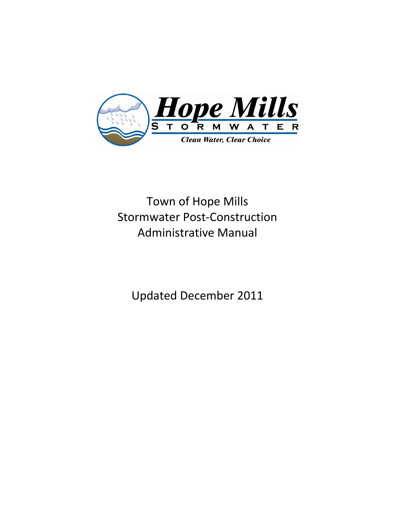

Town of Hope Mills Stormwater Post-Construction Administrative Manual

Updated December 2011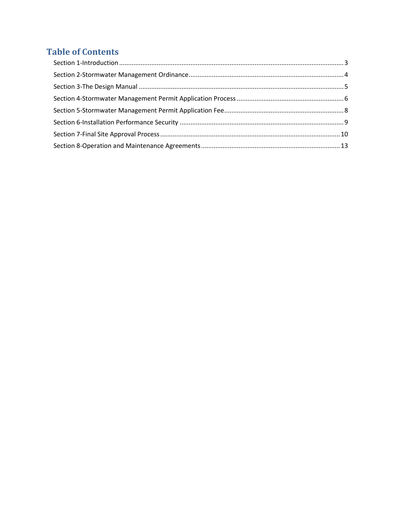# **Table of Contents**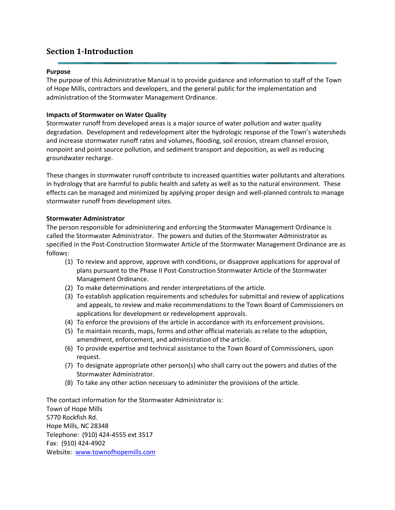## <span id="page-2-0"></span>**Section 1-Introduction**

#### **Purpose**

The purpose of this Administrative Manual is to provide guidance and information to staff of the Town of Hope Mills, contractors and developers, and the general public for the implementation and administration of the Stormwater Management Ordinance.

#### **Impacts of Stormwater on Water Quality**

Stormwater runoff from developed areas is a major source of water pollution and water quality degradation. Development and redevelopment alter the hydrologic response of the Town's watersheds and increase stormwater runoff rates and volumes, flooding, soil erosion, stream channel erosion, nonpoint and point source pollution, and sediment transport and deposition, as well as reducing groundwater recharge.

These changes in stormwater runoff contribute to increased quantities water pollutants and alterations in hydrology that are harmful to public health and safety as well as to the natural environment. These effects can be managed and minimized by applying proper design and well-planned controls to manage stormwater runoff from development sites.

#### **Stormwater Administrator**

The person responsible for administering and enforcing the Stormwater Management Ordinance is called the Stormwater Administrator. The powers and duties of the Stormwater Administrator as specified in the Post-Construction Stormwater Article of the Stormwater Management Ordinance are as follows:

- (1) To review and approve, approve with conditions, or disapprove applications for approval of plans pursuant to the Phase II Post-Construction Stormwater Article of the Stormwater Management Ordinance.
- (2) To make determinations and render interpretations of the article.
- (3) To establish application requirements and schedules for submittal and review of applications and appeals, to review and make recommendations to the Town Board of Commissioners on applications for development or redevelopment approvals.
- (4) To enforce the provisions of the article in accordance with its enforcement provisions.
- (5) To maintain records, maps, forms and other official materials as relate to the adoption, amendment, enforcement, and administration of the article.
- (6) To provide expertise and technical assistance to the Town Board of Commissioners, upon request.
- (7) To designate appropriate other person(s) who shall carry out the powers and duties of the Stormwater Administrator.
- (8) To take any other action necessary to administer the provisions of the article.

The contact information for the Stormwater Administrator is: Town of Hope Mills 5770 Rockfish Rd. Hope Mills, NC 28348 Telephone: (910) 424-4555 ext 3517 Fax: (910) 424-4902 Website: [www.townofhopemills.com](http://www.townofhopemills.com/)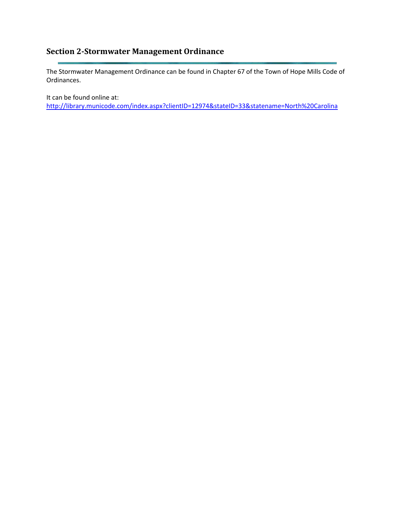# <span id="page-3-0"></span>**Section 2-Stormwater Management Ordinance**

The Stormwater Management Ordinance can be found in Chapter 67 of the Town of Hope Mills Code of Ordinances.

It can be found online at:

<http://library.municode.com/index.aspx?clientID=12974&stateID=33&statename=North%20Carolina>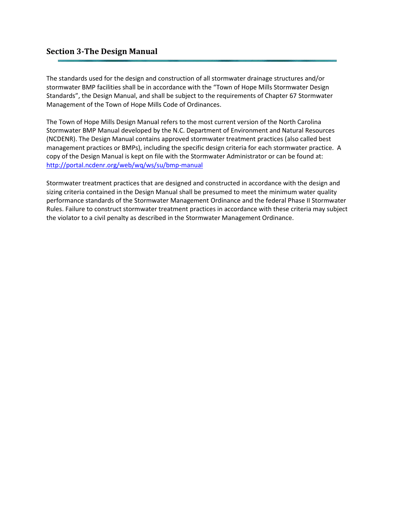## <span id="page-4-0"></span>**Section 3-The Design Manual**

The standards used for the design and construction of all stormwater drainage structures and/or stormwater BMP facilities shall be in accordance with the "Town of Hope Mills Stormwater Design Standards", the Design Manual, and shall be subject to the requirements of Chapter 67 Stormwater Management of the Town of Hope Mills Code of Ordinances.

The Town of Hope Mills Design Manual refers to the most current version of the North Carolina Stormwater BMP Manual developed by the N.C. Department of Environment and Natural Resources (NCDENR). The Design Manual contains approved stormwater treatment practices (also called best management practices or BMPs), including the specific design criteria for each stormwater practice. A copy of the Design Manual is kept on file with the Stormwater Administrator or can be found at: <http://portal.ncdenr.org/web/wq/ws/su/bmp-manual>

Stormwater treatment practices that are designed and constructed in accordance with the design and sizing criteria contained in the Design Manual shall be presumed to meet the minimum water quality performance standards of the Stormwater Management Ordinance and the federal Phase II Stormwater Rules. Failure to construct stormwater treatment practices in accordance with these criteria may subject the violator to a civil penalty as described in the Stormwater Management Ordinance.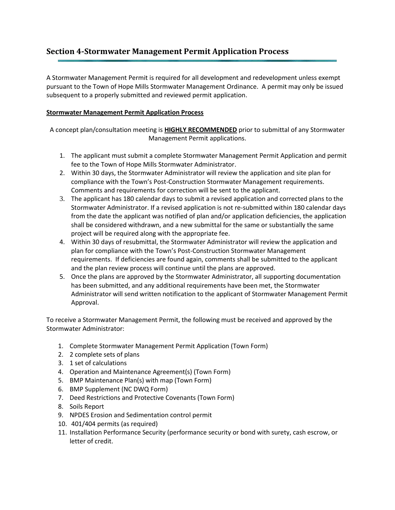## <span id="page-5-0"></span>**Section 4-Stormwater Management Permit Application Process**

A Stormwater Management Permit is required for all development and redevelopment unless exempt pursuant to the Town of Hope Mills Stormwater Management Ordinance. A permit may only be issued subsequent to a properly submitted and reviewed permit application.

### **Stormwater Management Permit Application Process**

A concept plan/consultation meeting is **HIGHLY RECOMMENDED** prior to submittal of any Stormwater Management Permit applications.

- 1. The applicant must submit a complete Stormwater Management Permit Application and permit fee to the Town of Hope Mills Stormwater Administrator.
- 2. Within 30 days, the Stormwater Administrator will review the application and site plan for compliance with the Town's Post-Construction Stormwater Management requirements. Comments and requirements for correction will be sent to the applicant.
- 3. The applicant has 180 calendar days to submit a revised application and corrected plans to the Stormwater Administrator. If a revised application is not re-submitted within 180 calendar days from the date the applicant was notified of plan and/or application deficiencies, the application shall be considered withdrawn, and a new submittal for the same or substantially the same project will be required along with the appropriate fee.
- 4. Within 30 days of resubmittal, the Stormwater Administrator will review the application and plan for compliance with the Town's Post-Construction Stormwater Management requirements. If deficiencies are found again, comments shall be submitted to the applicant and the plan review process will continue until the plans are approved.
- 5. Once the plans are approved by the Stormwater Administrator, all supporting documentation has been submitted, and any additional requirements have been met, the Stormwater Administrator will send written notification to the applicant of Stormwater Management Permit Approval.

To receive a Stormwater Management Permit, the following must be received and approved by the Stormwater Administrator:

- 1. Complete Stormwater Management Permit Application (Town Form)
- 2. 2 complete sets of plans
- 3. 1 set of calculations
- 4. Operation and Maintenance Agreement(s) (Town Form)
- 5. BMP Maintenance Plan(s) with map (Town Form)
- 6. BMP Supplement (NC DWQ Form)
- 7. Deed Restrictions and Protective Covenants (Town Form)
- 8. Soils Report
- 9. NPDES Erosion and Sedimentation control permit
- 10. 401/404 permits (as required)
- 11. Installation Performance Security (performance security or bond with surety, cash escrow, or letter of credit.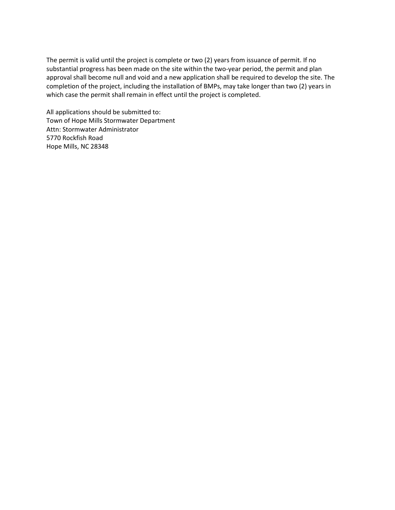The permit is valid until the project is complete or two (2) years from issuance of permit. If no substantial progress has been made on the site within the two-year period, the permit and plan approval shall become null and void and a new application shall be required to develop the site. The completion of the project, including the installation of BMPs, may take longer than two (2) years in which case the permit shall remain in effect until the project is completed.

All applications should be submitted to: Town of Hope Mills Stormwater Department Attn: Stormwater Administrator 5770 Rockfish Road Hope Mills, NC 28348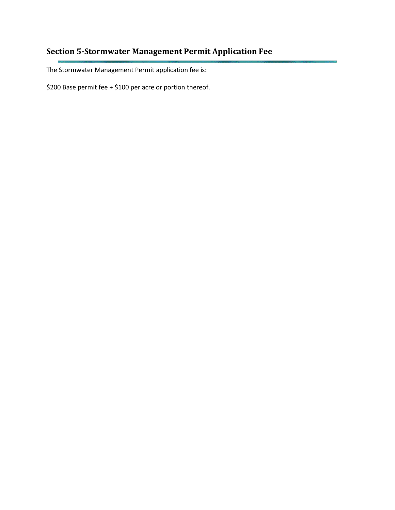# <span id="page-7-0"></span>**Section 5-Stormwater Management Permit Application Fee**

The Stormwater Management Permit application fee is:

\$200 Base permit fee + \$100 per acre or portion thereof.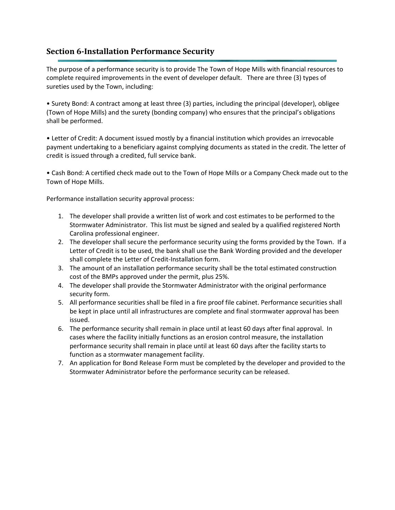## <span id="page-8-0"></span>**Section 6-Installation Performance Security**

The purpose of a performance security is to provide The Town of Hope Mills with financial resources to complete required improvements in the event of developer default. There are three (3) types of sureties used by the Town, including:

• Surety Bond: A contract among at least three (3) parties, including the principal (developer), obligee (Town of Hope Mills) and the surety (bonding company) who ensures that the principal's obligations shall be performed.

• Letter of Credit: A document issued mostly by a financial institution which provides an irrevocable payment undertaking to a beneficiary against complying documents as stated in the credit. The letter of credit is issued through a credited, full service bank.

• Cash Bond: A certified check made out to the Town of Hope Mills or a Company Check made out to the Town of Hope Mills.

Performance installation security approval process:

- 1. The developer shall provide a written list of work and cost estimates to be performed to the Stormwater Administrator. This list must be signed and sealed by a qualified registered North Carolina professional engineer.
- 2. The developer shall secure the performance security using the forms provided by the Town. If a Letter of Credit is to be used, the bank shall use the Bank Wording provided and the developer shall complete the Letter of Credit-Installation form.
- 3. The amount of an installation performance security shall be the total estimated construction cost of the BMPs approved under the permit, plus 25%.
- 4. The developer shall provide the Stormwater Administrator with the original performance security form.
- 5. All performance securities shall be filed in a fire proof file cabinet. Performance securities shall be kept in place until all infrastructures are complete and final stormwater approval has been issued.
- 6. The performance security shall remain in place until at least 60 days after final approval. In cases where the facility initially functions as an erosion control measure, the installation performance security shall remain in place until at least 60 days after the facility starts to function as a stormwater management facility.
- 7. An application for Bond Release Form must be completed by the developer and provided to the Stormwater Administrator before the performance security can be released.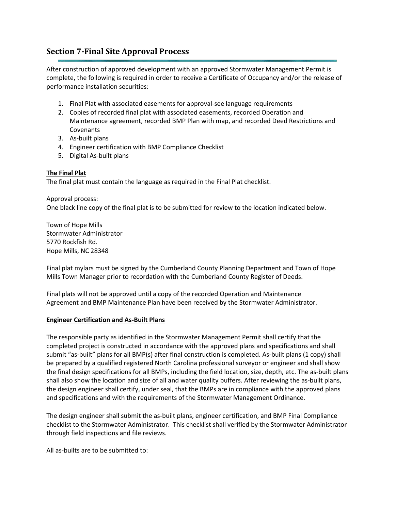## <span id="page-9-0"></span>**Section 7-Final Site Approval Process**

After construction of approved development with an approved Stormwater Management Permit is complete, the following is required in order to receive a Certificate of Occupancy and/or the release of performance installation securities:

- 1. Final Plat with associated easements for approval-see language requirements
- 2. Copies of recorded final plat with associated easements, recorded Operation and Maintenance agreement, recorded BMP Plan with map, and recorded Deed Restrictions and Covenants
- 3. As-built plans
- 4. Engineer certification with BMP Compliance Checklist
- 5. Digital As-built plans

### **The Final Plat**

The final plat must contain the language as required in the Final Plat checklist.

Approval process: One black line copy of the final plat is to be submitted for review to the location indicated below.

Town of Hope Mills Stormwater Administrator 5770 Rockfish Rd. Hope Mills, NC 28348

Final plat mylars must be signed by the Cumberland County Planning Department and Town of Hope Mills Town Manager prior to recordation with the Cumberland County Register of Deeds.

Final plats will not be approved until a copy of the recorded Operation and Maintenance Agreement and BMP Maintenance Plan have been received by the Stormwater Administrator.

#### **Engineer Certification and As-Built Plans**

The responsible party as identified in the Stormwater Management Permit shall certify that the completed project is constructed in accordance with the approved plans and specifications and shall submit "as-built" plans for all BMP(s) after final construction is completed. As-built plans (1 copy) shall be prepared by a qualified registered North Carolina professional surveyor or engineer and shall show the final design specifications for all BMPs, including the field location, size, depth, etc. The as-built plans shall also show the location and size of all and water quality buffers. After reviewing the as-built plans, the design engineer shall certify, under seal, that the BMPs are in compliance with the approved plans and specifications and with the requirements of the Stormwater Management Ordinance.

The design engineer shall submit the as-built plans, engineer certification, and BMP Final Compliance checklist to the Stormwater Administrator. This checklist shall verified by the Stormwater Administrator through field inspections and file reviews.

All as-builts are to be submitted to: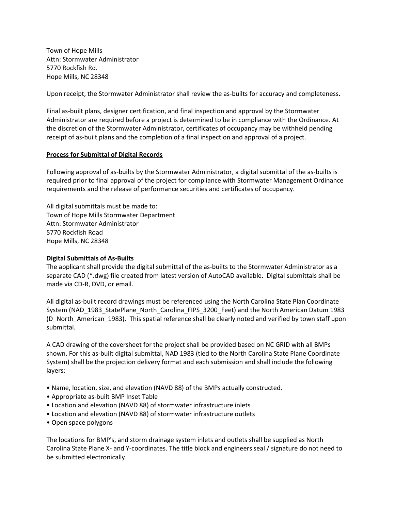Town of Hope Mills Attn: Stormwater Administrator 5770 Rockfish Rd. Hope Mills, NC 28348

Upon receipt, the Stormwater Administrator shall review the as-builts for accuracy and completeness.

Final as-built plans, designer certification, and final inspection and approval by the Stormwater Administrator are required before a project is determined to be in compliance with the Ordinance. At the discretion of the Stormwater Administrator, certificates of occupancy may be withheld pending receipt of as-built plans and the completion of a final inspection and approval of a project.

#### **Process for Submittal of Digital Records**

Following approval of as-builts by the Stormwater Administrator, a digital submittal of the as-builts is required prior to final approval of the project for compliance with Stormwater Management Ordinance requirements and the release of performance securities and certificates of occupancy.

All digital submittals must be made to: Town of Hope Mills Stormwater Department Attn: Stormwater Administrator 5770 Rockfish Road Hope Mills, NC 28348

#### **Digital Submittals of As-Builts**

The applicant shall provide the digital submittal of the as-builts to the Stormwater Administrator as a separate CAD (\*.dwg) file created from latest version of AutoCAD available. Digital submittals shall be made via CD-R, DVD, or email.

All digital as-built record drawings must be referenced using the North Carolina State Plan Coordinate System (NAD\_1983\_StatePlane\_North\_Carolina\_FIPS\_3200\_Feet) and the North American Datum 1983 (D\_North\_American\_1983). This spatial reference shall be clearly noted and verified by town staff upon submittal.

A CAD drawing of the coversheet for the project shall be provided based on NC GRID with all BMPs shown. For this as-built digital submittal, NAD 1983 (tied to the North Carolina State Plane Coordinate System) shall be the projection delivery format and each submission and shall include the following layers:

- Name, location, size, and elevation (NAVD 88) of the BMPs actually constructed.
- Appropriate as-built BMP Inset Table
- Location and elevation (NAVD 88) of stormwater infrastructure inlets
- Location and elevation (NAVD 88) of stormwater infrastructure outlets
- Open space polygons

The locations for BMP's, and storm drainage system inlets and outlets shall be supplied as North Carolina State Plane X- and Y-coordinates. The title block and engineers seal / signature do not need to be submitted electronically.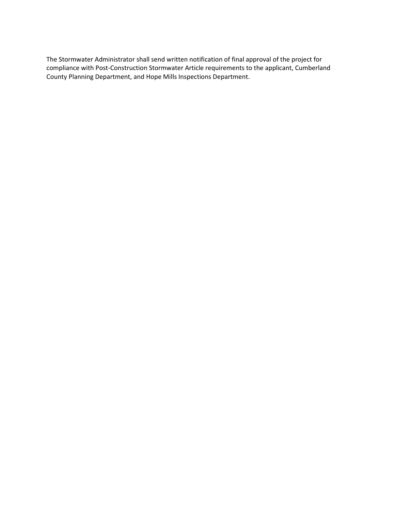The Stormwater Administrator shall send written notification of final approval of the project for compliance with Post-Construction Stormwater Article requirements to the applicant, Cumberland County Planning Department, and Hope Mills Inspections Department.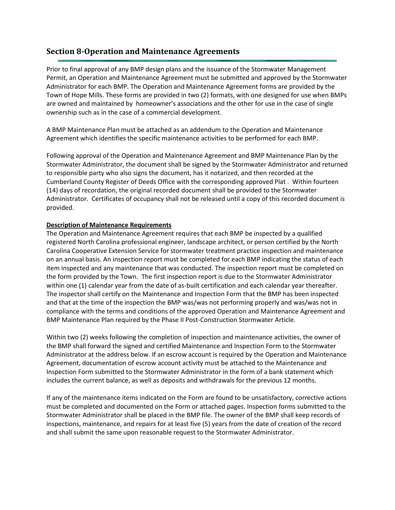## <span id="page-12-0"></span>**Section 8-Operation and Maintenance Agreements**

Prior to final approval of any BMP design plans and the issuance of the Stormwater Management Permit, an Operation and Maintenance Agreement must be submitted and approved by the Stormwater Administrator for each BMP. The Operation and Maintenance Agreement forms are provided by the Town of Hope Mills. These forms are provided in two (2) formats, with one designed for use when BMPs are owned and maintained by homeowner's associations and the other for use in the case of single ownership such as in the case of a commercial development.

A BMP Maintenance Plan must be attached as an addendum to the Operation and Maintenance Agreement which identifies the specific maintenance activities to be performed for each BMP.

Following approval of the Operation and Maintenance Agreement and BMP Maintenance Plan by the Stormwater Administrator, the document shall be signed by the Stormwater Administrator and returned to responsible party who also signs the document, has it notarized, and then recorded at the Cumberland County Register of Deeds Office with the corresponding approved Plat . Within fourteen (14) days of recordation, the original recorded document shall be provided to the Stormwater Administrator. Certificates of occupancy shall not be released until a copy of this recorded document is provided.

### **Description of Maintenance Requirements**

The Operation and Maintenance Agreement requires that each BMP be inspected by a qualified registered North Carolina professional engineer, landscape architect, or person certified by the North Carolina Cooperative Extension Service for stormwater treatment practice inspection and maintenance on an annual basis. An inspection report must be completed for each BMP indicating the status of each item inspected and any maintenance that was conducted. The inspection report must be completed on the form provided by the Town.The first inspection report is due to the Stormwater Administrator within one (1) calendar year from the date of as-built certification and each calendar year thereafter. The inspector shall certify on the Maintenance and Inspection Form that the BMP has been inspected and that at the time of the inspection the BMP was/was not performing properly and was/was not in compliance with the terms and conditions of the approved Operation and Maintenance Agreement and BMP Maintenance Plan required by the Phase II Post-Construction Stormwater Article.

Within two (2) weeks following the completion of inspection and maintenance activities, the owner of the BMP shall forward the signed and certified Maintenance and Inspection Form to the Stormwater Administrator at the address below. If an escrow account is required by the Operation and Maintenance Agreement, documentation of escrow account activity must be attached to the Maintenance and Inspection Form submitted to the Stormwater Administrator in the form of a bank statement which includes the current balance, as well as deposits and withdrawals for the previous 12 months.

If any of the maintenance items indicated on the Form are found to be unsatisfactory, corrective actions must be completed and documented on the Form or attached pages. Inspection forms submitted to the Stormwater Administrator shall be placed in the BMP file. The owner of the BMP shall keep records of inspections, maintenance, and repairs for at least five (5) years from the date of creation of the record and shall submit the same upon reasonable request to the Stormwater Administrator.